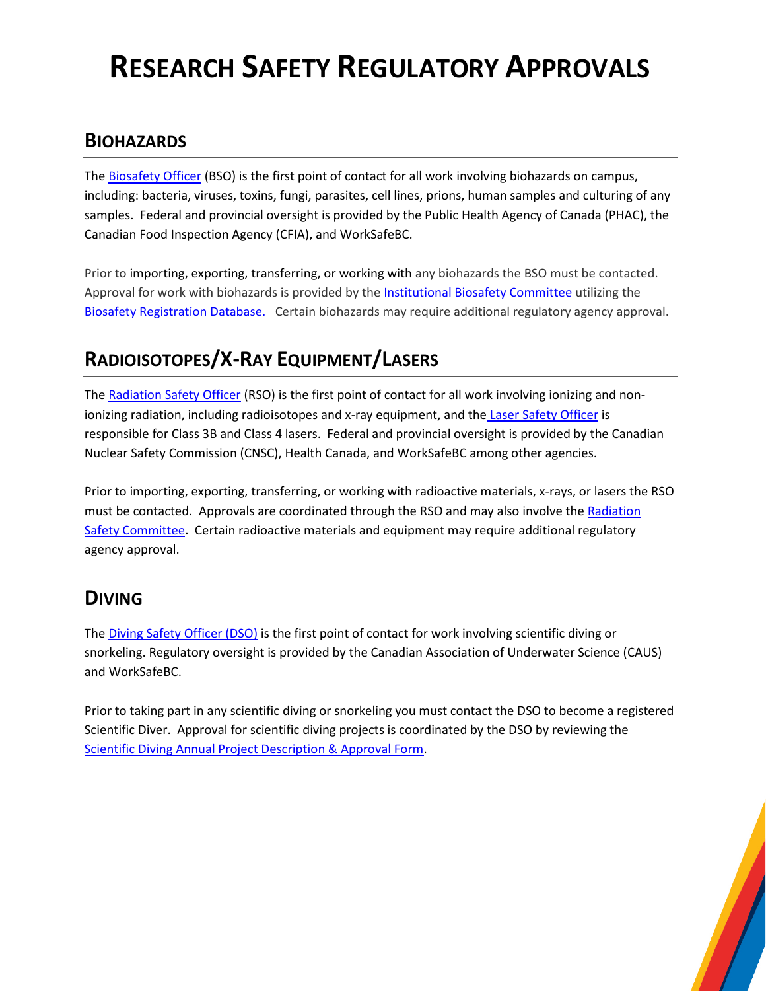# **RESEARCH SAFETY REGULATORY APPROVALS**

#### **BIOHAZARDS**

Th[e Biosafety Officer](mailto:jaclynd@uvic.ca) (BSO) is the first point of contact for all work involving biohazards on campus, including: bacteria, viruses, toxins, fungi, parasites, cell lines, prions, human samples and culturing of any samples. Federal and provincial oversight is provided by the Public Health Agency of Canada (PHAC), the Canadian Food Inspection Agency (CFIA), and WorkSafeBC.

Prior to importing, exporting, transferring, or working with any biohazards the BSO must be contacted. Approval for work with biohazards is provided by th[e Institutional Biosafety Committee](http://www.uvic.ca/ohse/committees/research-committee/bio-committee/index.php) utilizing the [Biosafety Registration Database.](https://www.uvic.ca/ohse/research/bio/registration/index.php) Certain biohazards may require additional regulatory agency approval.

# **RADIOISOTOPES/X-RAY EQUIPMENT/LASERS**

Th[e Radiation Safety Officer](mailto:hasanent@uvic.ca) (RSO) is the first point of contact for all work involving ionizing and non-ionizing radiation, including radioisotopes and x-ray equipment, and the [Laser Safety Officer](mailto:plagaditis@uvic.ca) is responsible for Class 3B and Class 4 lasers. Federal and provincial oversight is provided by the Canadian Nuclear Safety Commission (CNSC), Health Canada, and WorkSafeBC among other agencies.

Prior to importing, exporting, transferring, or working with radioactive materials, x-rays, or lasers the RSO must be contacted. Approvals are coordinated through the RSO and may also involve the Radiation [Safety Committee.](http://www.uvic.ca/ohse/committees/research-committee/radiation-committee/index.php) Certain radioactive materials and equipment may require additional regulatory agency approval.

#### **DIVING**

Th[e Diving Safety Officer \(DSO\)](mailto:uvicdso@uvic.ca) is the first point of contact for work involving scientific diving or snorkeling. Regulatory oversight is provided by the Canadian Association of Underwater Science (CAUS) and WorkSafeBC.

Prior to taking part in any scientific diving or snorkeling you must contact the DSO to become a registered Scientific Diver. Approval for scientific diving projects is coordinated by the DSO by reviewing the [Scientific Diving Annual Project Description & Approval Form.](https://www.uvic.ca/ohse/assets/docs/diving/diving-project_may2019.pdf)